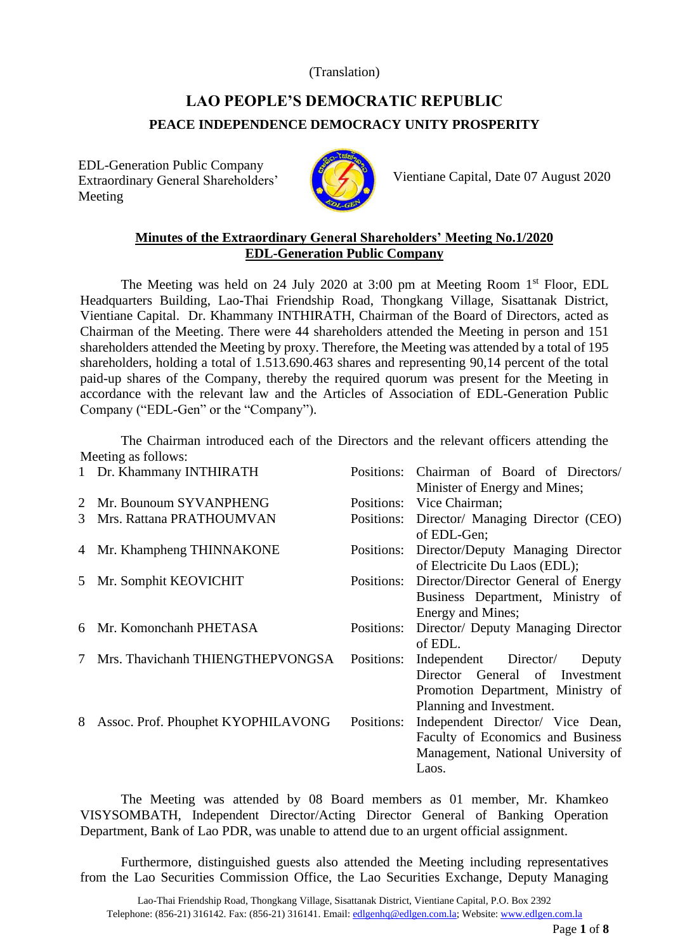(Translation)

## **LAO PEOPLE'S DEMOCRATIC REPUBLIC PEACE INDEPENDENCE DEMOCRACY UNITY PROSPERITY**

EDL-Generation Public Company Extraordinary General Shareholders' Meeting



Vientiane Capital, Date 07 August 2020

## **Minutes of the Extraordinary General Shareholders' Meeting No.1/2020 EDL-Generation Public Company**

The Meeting was held on 24 July 2020 at 3:00 pm at Meeting Room 1<sup>st</sup> Floor, EDL Headquarters Building, Lao-Thai Friendship Road, Thongkang Village, Sisattanak District, Vientiane Capital. Dr. Khammany INTHIRATH, Chairman of the Board of Directors, acted as Chairman of the Meeting. There were 44 shareholders attended the Meeting in person and 151 shareholders attended the Meeting by proxy. Therefore, the Meeting was attended by a total of 195 shareholders, holding a total of 1.513.690.463 shares and representing 90,14 percent of the total paid-up shares of the Company, thereby the required quorum was present for the Meeting in accordance with the relevant law and the Articles of Association of EDL-Generation Public Company ("EDL-Gen" or the "Company").

The Chairman introduced each of the Directors and the relevant officers attending the Meeting as follows:

| 1 | Dr. Khammany INTHIRATH             | Positions: | Chairman of Board of Directors/                                                                                                    |
|---|------------------------------------|------------|------------------------------------------------------------------------------------------------------------------------------------|
| 2 | Mr. Bounoum SYVANPHENG             | Positions: | Minister of Energy and Mines;<br>Vice Chairman;                                                                                    |
| 3 | Mrs. Rattana PRATHOUMVAN           | Positions: | Director/ Managing Director (CEO)<br>of EDL-Gen;                                                                                   |
|   | 4 Mr. Khampheng THINNAKONE         | Positions: | Director/Deputy Managing Director<br>of Electricite Du Laos (EDL);                                                                 |
| 5 | Mr. Somphit KEOVICHIT              | Positions: | Director/Director General of Energy<br>Business Department, Ministry of<br>Energy and Mines;                                       |
| 6 | Mr. Komonchanh PHETASA             | Positions: | Director/ Deputy Managing Director<br>of EDL.                                                                                      |
| 7 | Mrs. Thavichanh THIENGTHEPVONGSA   | Positions: | Independent Director/<br>Deputy<br>Director General of Investment<br>Promotion Department, Ministry of<br>Planning and Investment. |
| 8 | Assoc. Prof. Phouphet KYOPHILAVONG | Positions: | Independent Director/ Vice Dean,<br>Faculty of Economics and Business<br>Management, National University of<br>Laos.               |

The Meeting was attended by 08 Board members as 01 member, Mr. Khamkeo VISYSOMBATH, Independent Director/Acting Director General of Banking Operation Department, Bank of Lao PDR, was unable to attend due to an urgent official assignment.

Furthermore, distinguished guests also attended the Meeting including representatives from the Lao Securities Commission Office, the Lao Securities Exchange, Deputy Managing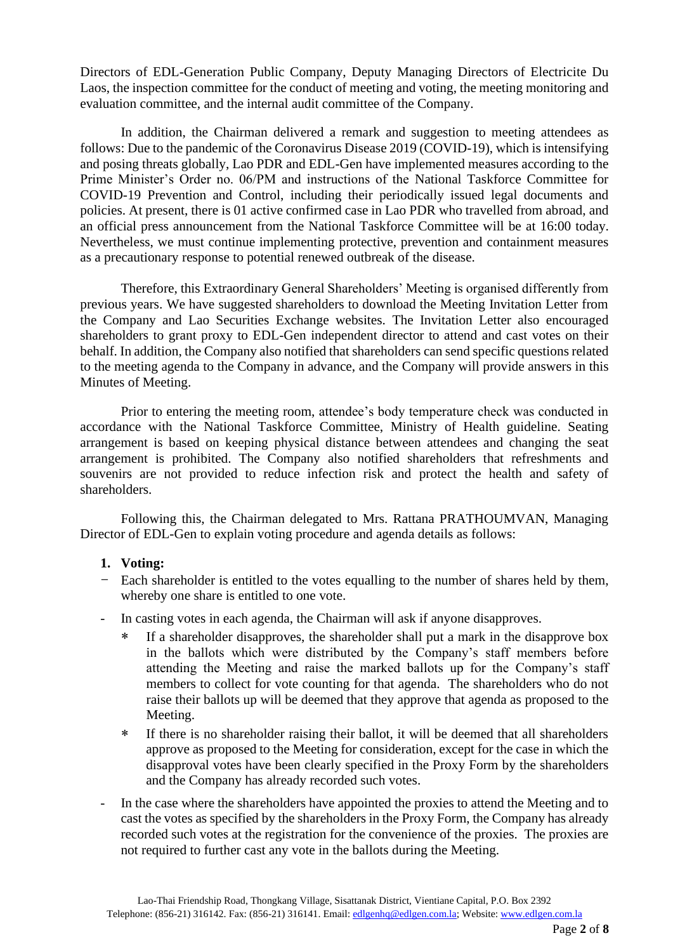Directors of EDL-Generation Public Company, Deputy Managing Directors of Electricite Du Laos, the inspection committee for the conduct of meeting and voting, the meeting monitoring and evaluation committee, and the internal audit committee of the Company.

In addition, the Chairman delivered a remark and suggestion to meeting attendees as follows: Due to the pandemic of the Coronavirus Disease 2019 (COVID-19), which is intensifying and posing threats globally, Lao PDR and EDL-Gen have implemented measures according to the Prime Minister's Order no. 06/PM and instructions of the National Taskforce Committee for COVID-19 Prevention and Control, including their periodically issued legal documents and policies. At present, there is 01 active confirmed case in Lao PDR who travelled from abroad, and an official press announcement from the National Taskforce Committee will be at 16:00 today. Nevertheless, we must continue implementing protective, prevention and containment measures as a precautionary response to potential renewed outbreak of the disease.

Therefore, this Extraordinary General Shareholders' Meeting is organised differently from previous years. We have suggested shareholders to download the Meeting Invitation Letter from the Company and Lao Securities Exchange websites. The Invitation Letter also encouraged shareholders to grant proxy to EDL-Gen independent director to attend and cast votes on their behalf. In addition, the Company also notified that shareholders can send specific questions related to the meeting agenda to the Company in advance, and the Company will provide answers in this Minutes of Meeting.

Prior to entering the meeting room, attendee's body temperature check was conducted in accordance with the National Taskforce Committee, Ministry of Health guideline. Seating arrangement is based on keeping physical distance between attendees and changing the seat arrangement is prohibited. The Company also notified shareholders that refreshments and souvenirs are not provided to reduce infection risk and protect the health and safety of shareholders.

Following this, the Chairman delegated to Mrs. Rattana PRATHOUMVAN, Managing Director of EDL-Gen to explain voting procedure and agenda details as follows:

#### **1. Voting:**

- Each shareholder is entitled to the votes equalling to the number of shares held by them, whereby one share is entitled to one vote.
- In casting votes in each agenda, the Chairman will ask if anyone disapproves.
	- If a shareholder disapproves, the shareholder shall put a mark in the disapprove box in the ballots which were distributed by the Company's staff members before attending the Meeting and raise the marked ballots up for the Company's staff members to collect for vote counting for that agenda. The shareholders who do not raise their ballots up will be deemed that they approve that agenda as proposed to the Meeting.
	- If there is no shareholder raising their ballot, it will be deemed that all shareholders approve as proposed to the Meeting for consideration, except for the case in which the disapproval votes have been clearly specified in the Proxy Form by the shareholders and the Company has already recorded such votes.
- In the case where the shareholders have appointed the proxies to attend the Meeting and to cast the votes as specified by the shareholders in the Proxy Form, the Company has already recorded such votes at the registration for the convenience of the proxies. The proxies are not required to further cast any vote in the ballots during the Meeting.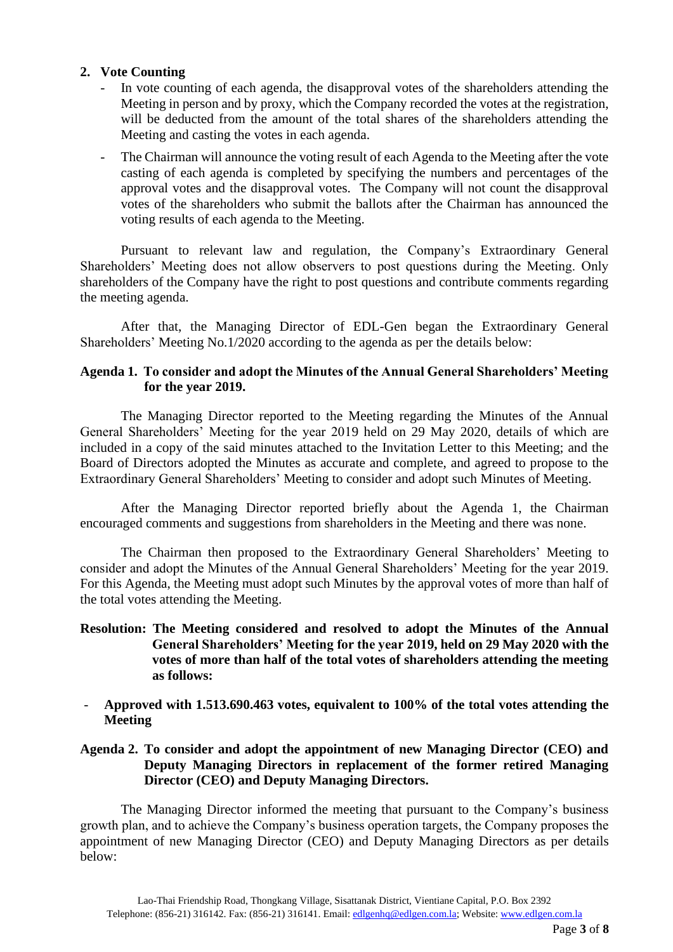#### **2. Vote Counting**

- In vote counting of each agenda, the disapproval votes of the shareholders attending the Meeting in person and by proxy, which the Company recorded the votes at the registration, will be deducted from the amount of the total shares of the shareholders attending the Meeting and casting the votes in each agenda.
- The Chairman will announce the voting result of each Agenda to the Meeting after the vote casting of each agenda is completed by specifying the numbers and percentages of the approval votes and the disapproval votes. The Company will not count the disapproval votes of the shareholders who submit the ballots after the Chairman has announced the voting results of each agenda to the Meeting.

Pursuant to relevant law and regulation, the Company's Extraordinary General Shareholders' Meeting does not allow observers to post questions during the Meeting. Only shareholders of the Company have the right to post questions and contribute comments regarding the meeting agenda.

After that, the Managing Director of EDL-Gen began the Extraordinary General Shareholders' Meeting No.1/2020 according to the agenda as per the details below:

## **Agenda 1. To consider and adopt the Minutes of the Annual General Shareholders' Meeting for the year 2019.**

The Managing Director reported to the Meeting regarding the Minutes of the Annual General Shareholders' Meeting for the year 2019 held on 29 May 2020, details of which are included in a copy of the said minutes attached to the Invitation Letter to this Meeting; and the Board of Directors adopted the Minutes as accurate and complete, and agreed to propose to the Extraordinary General Shareholders' Meeting to consider and adopt such Minutes of Meeting.

After the Managing Director reported briefly about the Agenda 1, the Chairman encouraged comments and suggestions from shareholders in the Meeting and there was none.

The Chairman then proposed to the Extraordinary General Shareholders' Meeting to consider and adopt the Minutes of the Annual General Shareholders' Meeting for the year 2019. For this Agenda, the Meeting must adopt such Minutes by the approval votes of more than half of the total votes attending the Meeting.

## **Resolution: The Meeting considered and resolved to adopt the Minutes of the Annual General Shareholders' Meeting for the year 2019, held on 29 May 2020 with the votes of more than half of the total votes of shareholders attending the meeting as follows:**

- **Approved with 1.513.690.463 votes, equivalent to 100% of the total votes attending the Meeting**

## **Agenda 2. To consider and adopt the appointment of new Managing Director (CEO) and Deputy Managing Directors in replacement of the former retired Managing Director (CEO) and Deputy Managing Directors.**

The Managing Director informed the meeting that pursuant to the Company's business growth plan, and to achieve the Company's business operation targets, the Company proposes the appointment of new Managing Director (CEO) and Deputy Managing Directors as per details below: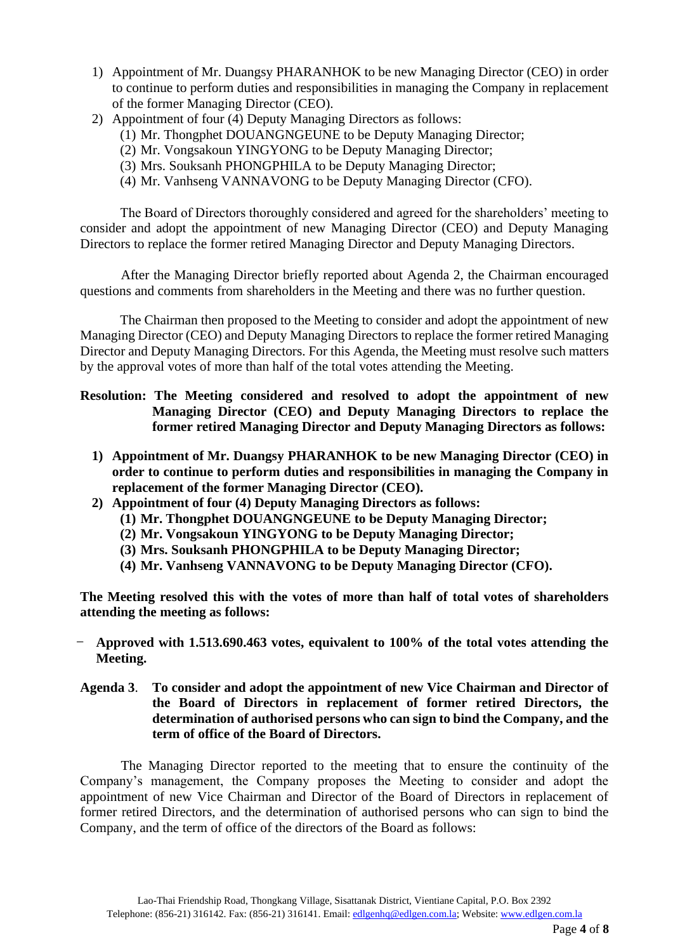- 1) Appointment of Mr. Duangsy PHARANHOK to be new Managing Director (CEO) in order to continue to perform duties and responsibilities in managing the Company in replacement of the former Managing Director (CEO).
- 2) Appointment of four (4) Deputy Managing Directors as follows:
	- (1) Mr. Thongphet DOUANGNGEUNE to be Deputy Managing Director;
	- (2) Mr. Vongsakoun YINGYONG to be Deputy Managing Director;
	- (3) Mrs. Souksanh PHONGPHILA to be Deputy Managing Director;
	- (4) Mr. Vanhseng VANNAVONG to be Deputy Managing Director (CFO).

The Board of Directors thoroughly considered and agreed for the shareholders' meeting to consider and adopt the appointment of new Managing Director (CEO) and Deputy Managing Directors to replace the former retired Managing Director and Deputy Managing Directors.

After the Managing Director briefly reported about Agenda 2, the Chairman encouraged questions and comments from shareholders in the Meeting and there was no further question.

The Chairman then proposed to the Meeting to consider and adopt the appointment of new Managing Director (CEO) and Deputy Managing Directors to replace the former retired Managing Director and Deputy Managing Directors. For this Agenda, the Meeting must resolve such matters by the approval votes of more than half of the total votes attending the Meeting.

**Resolution: The Meeting considered and resolved to adopt the appointment of new Managing Director (CEO) and Deputy Managing Directors to replace the former retired Managing Director and Deputy Managing Directors as follows:**

- **1) Appointment of Mr. Duangsy PHARANHOK to be new Managing Director (CEO) in order to continue to perform duties and responsibilities in managing the Company in replacement of the former Managing Director (CEO).**
- **2) Appointment of four (4) Deputy Managing Directors as follows:**
	- **(1) Mr. Thongphet DOUANGNGEUNE to be Deputy Managing Director;**
	- **(2) Mr. Vongsakoun YINGYONG to be Deputy Managing Director;**
	- **(3) Mrs. Souksanh PHONGPHILA to be Deputy Managing Director;**
	- **(4) Mr. Vanhseng VANNAVONG to be Deputy Managing Director (CFO).**

**The Meeting resolved this with the votes of more than half of total votes of shareholders attending the meeting as follows:**

- **Approved with 1.513.690.463 votes, equivalent to 100% of the total votes attending the Meeting.**

### **Agenda 3**. **To consider and adopt the appointment of new Vice Chairman and Director of the Board of Directors in replacement of former retired Directors, the determination of authorised persons who can sign to bind the Company, and the term of office of the Board of Directors.**

The Managing Director reported to the meeting that to ensure the continuity of the Company's management, the Company proposes the Meeting to consider and adopt the appointment of new Vice Chairman and Director of the Board of Directors in replacement of former retired Directors, and the determination of authorised persons who can sign to bind the Company, and the term of office of the directors of the Board as follows: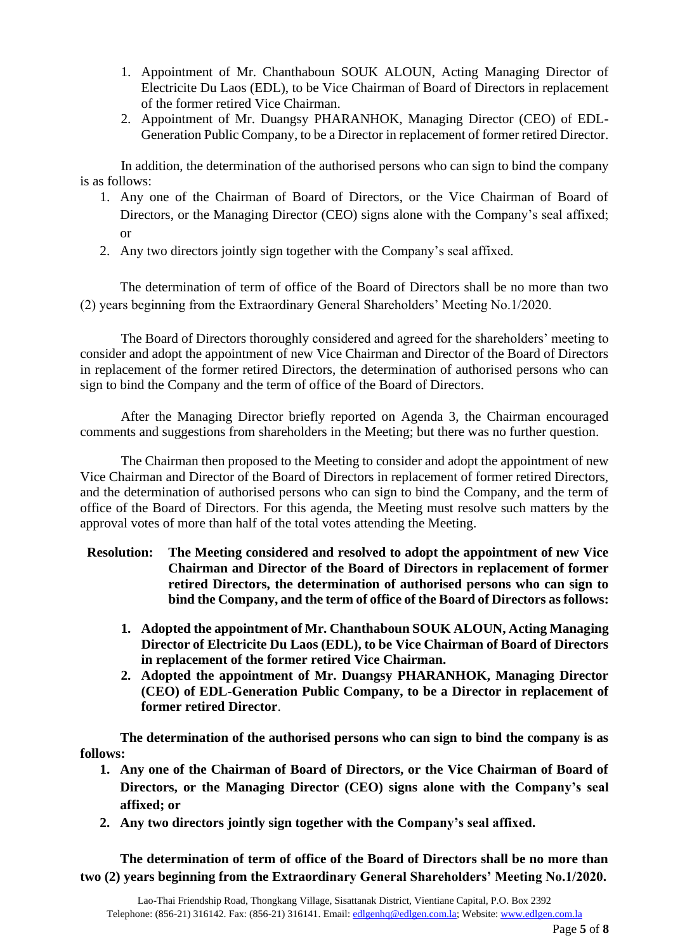- 1. Appointment of Mr. Chanthaboun SOUK ALOUN, Acting Managing Director of Electricite Du Laos (EDL), to be Vice Chairman of Board of Directors in replacement of the former retired Vice Chairman.
- 2. Appointment of Mr. Duangsy PHARANHOK, Managing Director (CEO) of EDL-Generation Public Company, to be a Director in replacement of former retired Director.

In addition, the determination of the authorised persons who can sign to bind the company is as follows:

- 1. Any one of the Chairman of Board of Directors, or the Vice Chairman of Board of Directors, or the Managing Director (CEO) signs alone with the Company's seal affixed; or
- 2. Any two directors jointly sign together with the Company's seal affixed.

The determination of term of office of the Board of Directors shall be no more than two (2) years beginning from the Extraordinary General Shareholders' Meeting No.1/2020.

The Board of Directors thoroughly considered and agreed for the shareholders' meeting to consider and adopt the appointment of new Vice Chairman and Director of the Board of Directors in replacement of the former retired Directors, the determination of authorised persons who can sign to bind the Company and the term of office of the Board of Directors.

After the Managing Director briefly reported on Agenda 3, the Chairman encouraged comments and suggestions from shareholders in the Meeting; but there was no further question.

The Chairman then proposed to the Meeting to consider and adopt the appointment of new Vice Chairman and Director of the Board of Directors in replacement of former retired Directors, and the determination of authorised persons who can sign to bind the Company, and the term of office of the Board of Directors. For this agenda, the Meeting must resolve such matters by the approval votes of more than half of the total votes attending the Meeting.

- **Resolution: The Meeting considered and resolved to adopt the appointment of new Vice Chairman and Director of the Board of Directors in replacement of former retired Directors, the determination of authorised persons who can sign to bind the Company, and the term of office of the Board of Directors as follows:**
	- **1. Adopted the appointment of Mr. Chanthaboun SOUK ALOUN, Acting Managing Director of Electricite Du Laos (EDL), to be Vice Chairman of Board of Directors in replacement of the former retired Vice Chairman.**
	- **2. Adopted the appointment of Mr. Duangsy PHARANHOK, Managing Director (CEO) of EDL-Generation Public Company, to be a Director in replacement of former retired Director**.

**The determination of the authorised persons who can sign to bind the company is as follows:**

- **1. Any one of the Chairman of Board of Directors, or the Vice Chairman of Board of Directors, or the Managing Director (CEO) signs alone with the Company's seal affixed; or**
- **2. Any two directors jointly sign together with the Company's seal affixed.**

**The determination of term of office of the Board of Directors shall be no more than two (2) years beginning from the Extraordinary General Shareholders' Meeting No.1/2020.**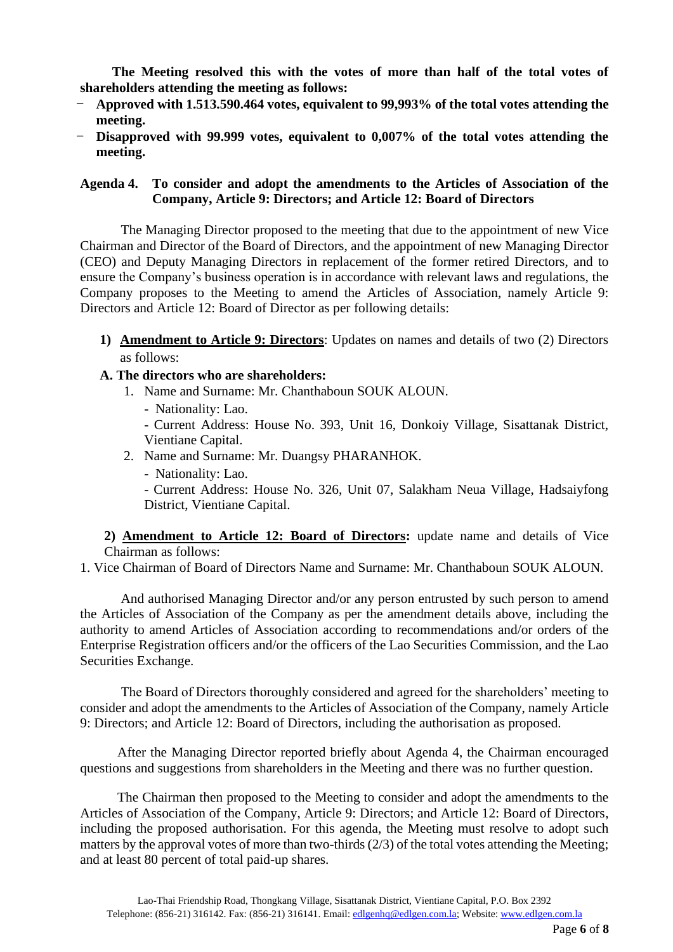**The Meeting resolved this with the votes of more than half of the total votes of shareholders attending the meeting as follows:**

- **Approved with 1.513.590.464 votes, equivalent to 99,993% of the total votes attending the meeting.**
- **Disapproved with 99.999 votes, equivalent to 0,007% of the total votes attending the meeting.**

#### **Agenda 4. To consider and adopt the amendments to the Articles of Association of the Company, Article 9: Directors; and Article 12: Board of Directors**

The Managing Director proposed to the meeting that due to the appointment of new Vice Chairman and Director of the Board of Directors, and the appointment of new Managing Director (CEO) and Deputy Managing Directors in replacement of the former retired Directors, and to ensure the Company's business operation is in accordance with relevant laws and regulations, the Company proposes to the Meeting to amend the Articles of Association, namely Article 9: Directors and Article 12: Board of Director as per following details:

- **1) Amendment to Article 9: Directors**: Updates on names and details of two (2) Directors as follows:
- **A. The directors who are shareholders:**
	- 1. Name and Surname: Mr. Chanthaboun SOUK ALOUN.
		- Nationality: Lao.

- Current Address: House No. 393, Unit 16, Donkoiy Village, Sisattanak District, Vientiane Capital.

- 2. Name and Surname: Mr. Duangsy PHARANHOK.
	- Nationality: Lao.

- Current Address: House No. 326, Unit 07, Salakham Neua Village, Hadsaiyfong District, Vientiane Capital.

**2) Amendment to Article 12: Board of Directors:** update name and details of Vice Chairman as follows:

1. Vice Chairman of Board of Directors Name and Surname: Mr. Chanthaboun SOUK ALOUN.

And authorised Managing Director and/or any person entrusted by such person to amend the Articles of Association of the Company as per the amendment details above, including the authority to amend Articles of Association according to recommendations and/or orders of the Enterprise Registration officers and/or the officers of the Lao Securities Commission, and the Lao Securities Exchange.

The Board of Directors thoroughly considered and agreed for the shareholders' meeting to consider and adopt the amendments to the Articles of Association of the Company, namely Article 9: Directors; and Article 12: Board of Directors, including the authorisation as proposed.

 After the Managing Director reported briefly about Agenda 4, the Chairman encouraged questions and suggestions from shareholders in the Meeting and there was no further question.

 The Chairman then proposed to the Meeting to consider and adopt the amendments to the Articles of Association of the Company, Article 9: Directors; and Article 12: Board of Directors, including the proposed authorisation. For this agenda, the Meeting must resolve to adopt such matters by the approval votes of more than two-thirds (2/3) of the total votes attending the Meeting; and at least 80 percent of total paid-up shares.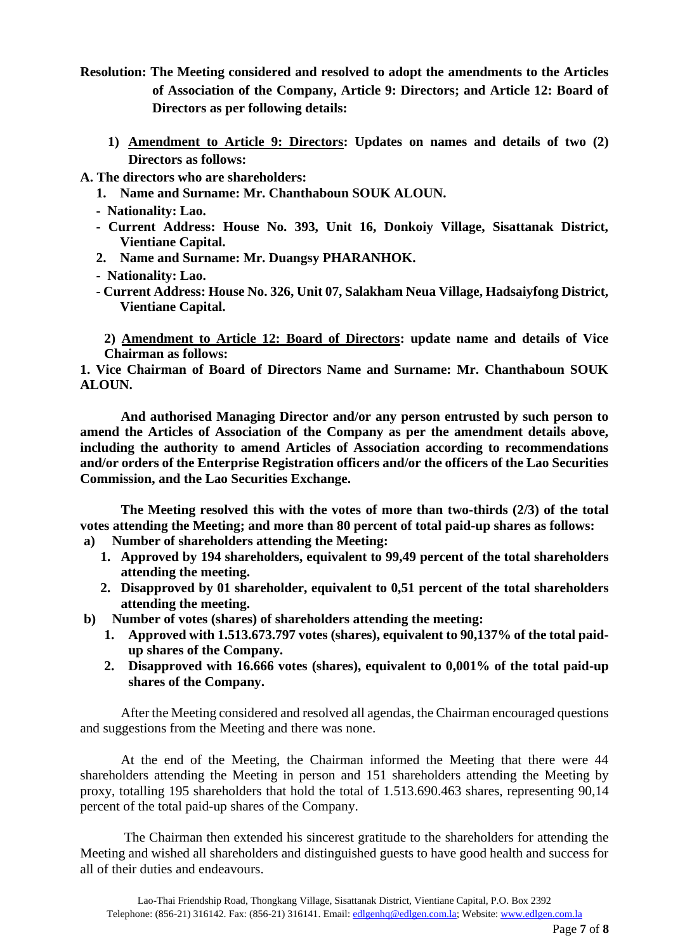- **Resolution: The Meeting considered and resolved to adopt the amendments to the Articles of Association of the Company, Article 9: Directors; and Article 12: Board of Directors as per following details:**
	- **1) Amendment to Article 9: Directors: Updates on names and details of two (2) Directors as follows:**
- **A. The directors who are shareholders:**
	- **1. Name and Surname: Mr. Chanthaboun SOUK ALOUN.**
	- **Nationality: Lao.**
	- **- Current Address: House No. 393, Unit 16, Donkoiy Village, Sisattanak District, Vientiane Capital.**
	- **2. Name and Surname: Mr. Duangsy PHARANHOK.**
	- **Nationality: Lao.**
	- **- Current Address: House No. 326, Unit 07, Salakham Neua Village, Hadsaiyfong District, Vientiane Capital.**

**2) Amendment to Article 12: Board of Directors: update name and details of Vice Chairman as follows:**

**1. Vice Chairman of Board of Directors Name and Surname: Mr. Chanthaboun SOUK ALOUN.**

**And authorised Managing Director and/or any person entrusted by such person to amend the Articles of Association of the Company as per the amendment details above, including the authority to amend Articles of Association according to recommendations and/or orders of the Enterprise Registration officers and/or the officers of the Lao Securities Commission, and the Lao Securities Exchange.**

**The Meeting resolved this with the votes of more than two-thirds (2/3) of the total votes attending the Meeting; and more than 80 percent of total paid-up shares as follows:**

- **a) Number of shareholders attending the Meeting:**
	- **1. Approved by 194 shareholders, equivalent to 99,49 percent of the total shareholders attending the meeting.**
	- **2. Disapproved by 01 shareholder, equivalent to 0,51 percent of the total shareholders attending the meeting.**
- **b) Number of votes (shares) of shareholders attending the meeting:** 
	- **1. Approved with 1.513.673.797 votes (shares), equivalent to 90,137% of the total paidup shares of the Company.**
	- **2. Disapproved with 16.666 votes (shares), equivalent to 0,001% of the total paid-up shares of the Company.**

After the Meeting considered and resolved all agendas, the Chairman encouraged questions and suggestions from the Meeting and there was none.

At the end of the Meeting, the Chairman informed the Meeting that there were 44 shareholders attending the Meeting in person and 151 shareholders attending the Meeting by proxy, totalling 195 shareholders that hold the total of 1.513.690.463 shares, representing 90,14 percent of the total paid-up shares of the Company.

 The Chairman then extended his sincerest gratitude to the shareholders for attending the Meeting and wished all shareholders and distinguished guests to have good health and success for all of their duties and endeavours.